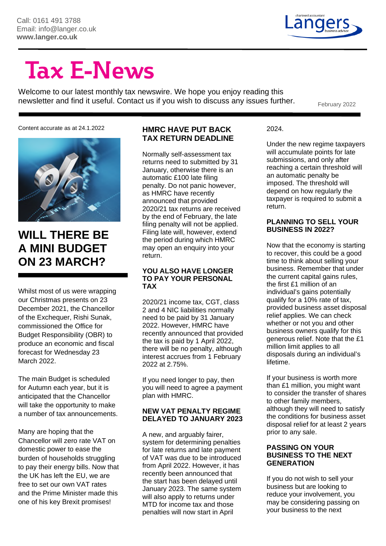

# **Tax E-News**

Welcome to our latest monthly tax newswire. We hope you enjoy reading this newsletter and find it useful. Contact us if you wish to discuss any issues further.

Content accurate as at 24.1.2022



### **WILL THERE BE A MINI BUDGET ON 23 MARCH?**

Whilst most of us were wrapping our Christmas presents on 23 December 2021, the Chancellor of the Exchequer, Rishi Sunak, commissioned the Office for Budget Responsibility (OBR) to produce an economic and fiscal forecast for Wednesday 23 March 2022.

The main Budget is scheduled for Autumn each year, but it is anticipated that the Chancellor will take the opportunity to make a number of tax announcements.

Many are hoping that the Chancellor will zero rate VAT on domestic power to ease the burden of households struggling to pay their energy bills. Now that the UK has left the EU, we are free to set our own VAT rates and the Prime Minister made this one of his key Brexit promises!

#### **HMRC HAVE PUT BACK TAX RETURN DEADLINE**

Normally self-assessment tax returns need to submitted by 31 January, otherwise there is an automatic £100 late filing penalty. Do not panic however, as HMRC have recently announced that provided 2020/21 tax returns are received by the end of February, the late filing penalty will not be applied. Filing late will, however, extend the period during which HMRC may open an enquiry into your return.

#### **YOU ALSO HAVE LONGER TO PAY YOUR PERSONAL TAX**

2020/21 income tax, CGT, class 2 and 4 NIC liabilities normally need to be paid by 31 January 2022. However, HMRC have recently announced that provided the tax is paid by 1 April 2022, there will be no penalty, although interest accrues from 1 February 2022 at 2.75%.

If you need longer to pay, then you will need to agree a payment plan with HMRC.

#### **NEW VAT PENALTY REGIME DELAYED TO JANUARY 2023**

A new, and arguably fairer, system for determining penalties for late returns and late payment of VAT was due to be introduced from April 2022. However, it has recently been announced that the start has been delayed until January 2023. The same system will also apply to returns under MTD for income tax and those penalties will now start in April

2024.

Under the new regime taxpayers will accumulate points for late submissions, and only after reaching a certain threshold will an automatic penalty be imposed. The threshold will depend on how regularly the taxpayer is required to submit a return.

#### **PLANNING TO SELL YOUR BUSINESS IN 2022?**

Now that the economy is starting to recover, this could be a good time to think about selling your business. Remember that under the current capital gains rules, the first £1 million of an individual's gains potentially qualify for a 10% rate of tax, provided business asset disposal relief applies. We can check whether or not you and other business owners qualify for this generous relief. Note that the £1 million limit applies to all disposals during an individual's lifetime.

If your business is worth more than £1 million, you might want to consider the transfer of shares to other family members, although they will need to satisfy the conditions for business asset disposal relief for at least 2 years prior to any sale.

#### **PASSING ON YOUR BUSINESS TO THE NEXT GENERATION**

If you do not wish to sell your business but are looking to reduce your involvement, you may be considering passing on your business to the next